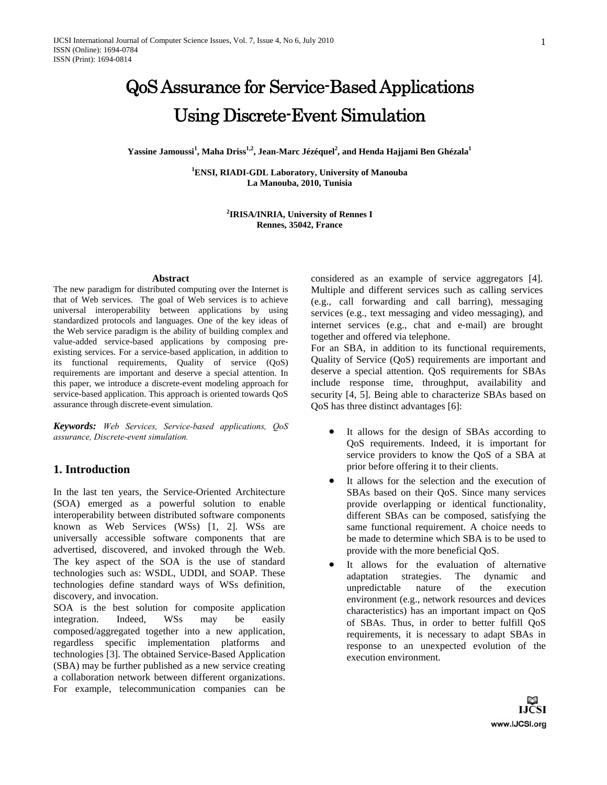$\boldsymbol{\mathrm{Y}}$ assine Jamoussi $^1$ , Maha Driss $^{1,2}$ , Jean-Marc Jézéquel $^2$ , and Henda Hajjami Ben Ghézala $^1$ 

**1 ENSI, RIADI-GDL Laboratory, University of Manouba La Manouba, 2010, Tunisia** 

> **2 IRISA/INRIA, University of Rennes I Rennes, 35042, France**

#### **Abstract**

The new paradigm for distributed computing over the Internet is that of Web services. The goal of Web services is to achieve universal interoperability between applications by using standardized protocols and languages. One of the key ideas of the Web service paradigm is the ability of building complex and value-added service-based applications by composing preexisting services. For a service-based application, in addition to its functional requirements, Quality of service (QoS) requirements are important and deserve a special attention. In this paper, we introduce a discrete-event modeling approach for service-based application. This approach is oriented towards QoS assurance through discrete-event simulation.

*Keywords: Web Services, Service-based applications, QoS assurance, Discrete-event simulation.*

# **1. Introduction**

In the last ten years, the Service-Oriented Architecture (SOA) emerged as a powerful solution to enable interoperability between distributed software components known as Web Services (WSs) [1, 2]. WSs are universally accessible software components that are advertised, discovered, and invoked through the Web. The key aspect of the SOA is the use of standard technologies such as: WSDL, UDDI, and SOAP. These technologies define standard ways of WSs definition, discovery, and invocation.

SOA is the best solution for composite application integration. Indeed, WSs may be easily composed/aggregated together into a new application, regardless specific implementation platforms and technologies [3]. The obtained Service-Based Application (SBA) may be further published as a new service creating a collaboration network between different organizations. For example, telecommunication companies can be considered as an example of service aggregators [4]. Multiple and different services such as calling services (e.g., call forwarding and call barring), messaging services (e.g., text messaging and video messaging), and internet services (e.g., chat and e-mail) are brought together and offered via telephone.

For an SBA, in addition to its functional requirements, Quality of Service (QoS) requirements are important and deserve a special attention. QoS requirements for SBAs include response time, throughput, availability and security [4, 5]. Being able to characterize SBAs based on QoS has three distinct advantages [6]:

- It allows for the design of SBAs according to QoS requirements. Indeed, it is important for service providers to know the QoS of a SBA at prior before offering it to their clients.
- It allows for the selection and the execution of SBAs based on their QoS. Since many services provide overlapping or identical functionality, different SBAs can be composed, satisfying the same functional requirement. A choice needs to be made to determine which SBA is to be used to provide with the more beneficial QoS.
- It allows for the evaluation of alternative adaptation strategies. The dynamic and unpredictable nature of the execution environment (e.g., network resources and devices characteristics) has an important impact on QoS of SBAs. Thus, in order to better fulfill QoS requirements, it is necessary to adapt SBAs in response to an unexpected evolution of the execution environment.

LICSI www.IJCSI.org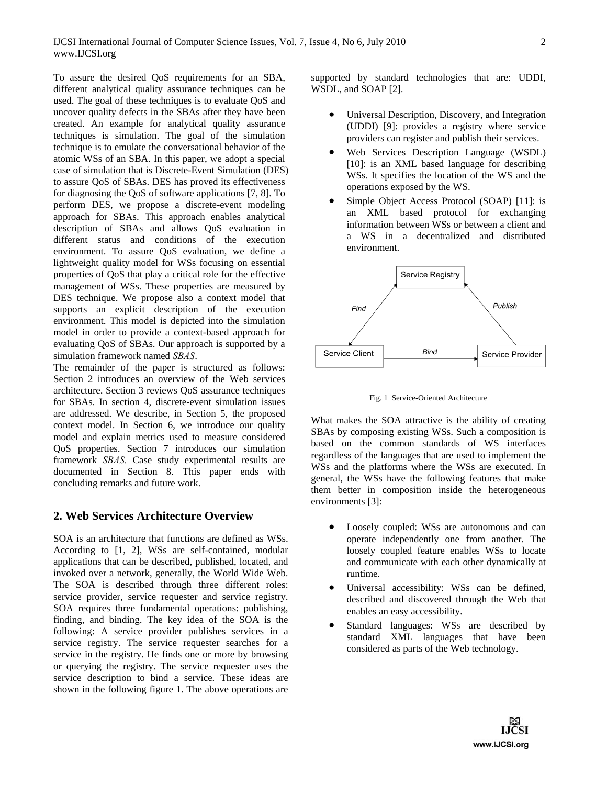To assure the desired QoS requirements for an SBA, different analytical quality assurance techniques can be used. The goal of these techniques is to evaluate QoS and uncover quality defects in the SBAs after they have been created. An example for analytical quality assurance techniques is simulation. The goal of the simulation technique is to emulate the conversational behavior of the atomic WSs of an SBA. In this paper, we adopt a special case of simulation that is Discrete-Event Simulation (DES) to assure QoS of SBAs. DES has proved its effectiveness for diagnosing the QoS of software applications [7, 8]. To perform DES, we propose a discrete-event modeling approach for SBAs. This approach enables analytical description of SBAs and allows QoS evaluation in different status and conditions of the execution environment. To assure QoS evaluation, we define a lightweight quality model for WSs focusing on essential properties of QoS that play a critical role for the effective management of WSs. These properties are measured by DES technique. We propose also a context model that supports an explicit description of the execution environment. This model is depicted into the simulation model in order to provide a context-based approach for evaluating QoS of SBAs. Our approach is supported by a simulation framework named *SBAS*.

The remainder of the paper is structured as follows: Section 2 introduces an overview of the Web services architecture. Section 3 reviews QoS assurance techniques for SBAs. In section 4, discrete-event simulation issues are addressed. We describe, in Section 5, the proposed context model. In Section 6, we introduce our quality model and explain metrics used to measure considered QoS properties. Section 7 introduces our simulation framework *SBAS.* Case study experimental results are documented in Section 8. This paper ends with concluding remarks and future work.

# **2. Web Services Architecture Overview**

SOA is an architecture that functions are defined as WSs. According to [1, 2], WSs are self-contained, modular applications that can be described, published, located, and invoked over a network, generally, the World Wide Web. The SOA is described through three different roles: service provider, service requester and service registry. SOA requires three fundamental operations: publishing, finding, and binding. The key idea of the SOA is the following: A service provider publishes services in a service registry. The service requester searches for a service in the registry. He finds one or more by browsing or querying the registry. The service requester uses the service description to bind a service. These ideas are shown in the following figure 1. The above operations are

supported by standard technologies that are: UDDI, WSDL, and SOAP [2].

- Universal Description, Discovery, and Integration (UDDI) [9]: provides a registry where service providers can register and publish their services.
- Web Services Description Language (WSDL) [10]: is an XML based language for describing WSs. It specifies the location of the WS and the operations exposed by the WS.
- Simple Object Access Protocol (SOAP) [11]: is an XML based protocol for exchanging information between WSs or between a client and a WS in a decentralized and distributed environment.



Fig. 1 Service-Oriented Architecture

What makes the SOA attractive is the ability of creating SBAs by composing existing WSs. Such a composition is based on the common standards of WS interfaces regardless of the languages that are used to implement the WSs and the platforms where the WSs are executed. In general, the WSs have the following features that make them better in composition inside the heterogeneous environments [3]:

- Loosely coupled: WSs are autonomous and can operate independently one from another. The loosely coupled feature enables WSs to locate and communicate with each other dynamically at runtime.
- Universal accessibility: WSs can be defined, described and discovered through the Web that enables an easy accessibility.
- Standard languages: WSs are described by standard XML languages that have been considered as parts of the Web technology.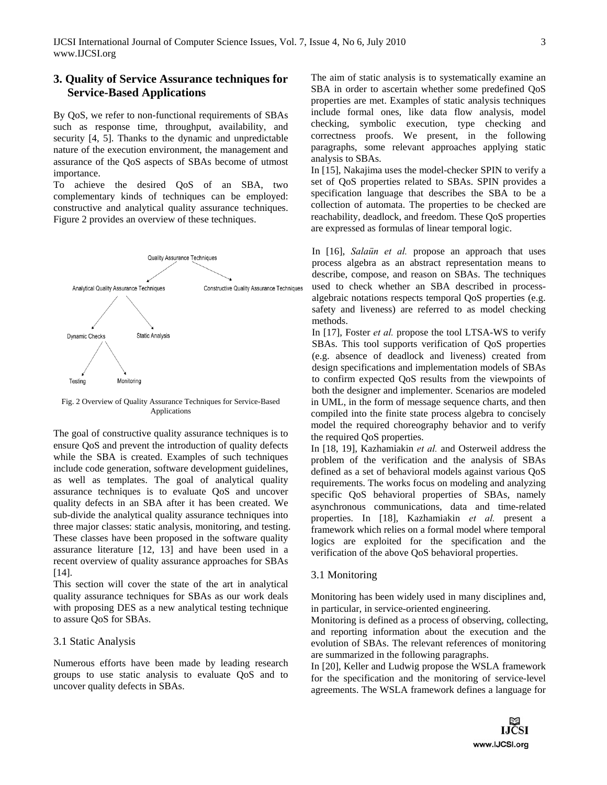# **3. Quality of Service Assurance techniques for Service-Based Applications**

By QoS, we refer to non-functional requirements of SBAs such as response time, throughput, availability, and security [4, 5]. Thanks to the dynamic and unpredictable nature of the execution environment, the management and assurance of the QoS aspects of SBAs become of utmost importance.

To achieve the desired QoS of an SBA, two complementary kinds of techniques can be employed: constructive and analytical quality assurance techniques. Figure 2 provides an overview of these techniques.



Fig. 2 Overview of Quality Assurance Techniques for Service-Based Applications

The goal of constructive quality assurance techniques is to ensure QoS and prevent the introduction of quality defects while the SBA is created. Examples of such techniques include code generation, software development guidelines, as well as templates. The goal of analytical quality assurance techniques is to evaluate QoS and uncover quality defects in an SBA after it has been created. We sub-divide the analytical quality assurance techniques into three major classes: static analysis, monitoring, and testing. These classes have been proposed in the software quality assurance literature [12, 13] and have been used in a recent overview of quality assurance approaches for SBAs [14].

This section will cover the state of the art in analytical quality assurance techniques for SBAs as our work deals with proposing DES as a new analytical testing technique to assure QoS for SBAs.

### 3.1 Static Analysis

Numerous efforts have been made by leading research groups to use static analysis to evaluate QoS and to uncover quality defects in SBAs.

The aim of static analysis is to systematically examine an SBA in order to ascertain whether some predefined QoS properties are met. Examples of static analysis techniques include formal ones, like data flow analysis, model checking, symbolic execution, type checking and correctness proofs. We present, in the following paragraphs, some relevant approaches applying static analysis to SBAs.

In [15], Nakajima uses the model-checker SPIN to verify a set of QoS properties related to SBAs. SPIN provides a specification language that describes the SBA to be a collection of automata. The properties to be checked are reachability, deadlock, and freedom. These QoS properties are expressed as formulas of linear temporal logic.

In [16], *Salaün et al.* propose an approach that uses process algebra as an abstract representation means to describe, compose, and reason on SBAs. The techniques used to check whether an SBA described in processalgebraic notations respects temporal QoS properties (e.g. safety and liveness) are referred to as model checking methods.

In [17], Foster *et al.* propose the tool LTSA-WS to verify SBAs. This tool supports verification of QoS properties (e.g. absence of deadlock and liveness) created from design specifications and implementation models of SBAs to confirm expected QoS results from the viewpoints of both the designer and implementer. Scenarios are modeled in UML, in the form of message sequence charts, and then compiled into the finite state process algebra to concisely model the required choreography behavior and to verify the required QoS properties.

In [18, 19], Kazhamiakin *et al.* and Osterweil address the problem of the verification and the analysis of SBAs defined as a set of behavioral models against various QoS requirements. The works focus on modeling and analyzing specific QoS behavioral properties of SBAs, namely asynchronous communications, data and time-related properties. In [18], Kazhamiakin *et al.* present a framework which relies on a formal model where temporal logics are exploited for the specification and the verification of the above QoS behavioral properties.

#### 3.1 Monitoring

Monitoring has been widely used in many disciplines and, in particular, in service-oriented engineering.

Monitoring is defined as a process of observing, collecting, and reporting information about the execution and the evolution of SBAs. The relevant references of monitoring are summarized in the following paragraphs.

In [20], Keller and Ludwig propose the WSLA framework for the specification and the monitoring of service-level agreements. The WSLA framework defines a language for

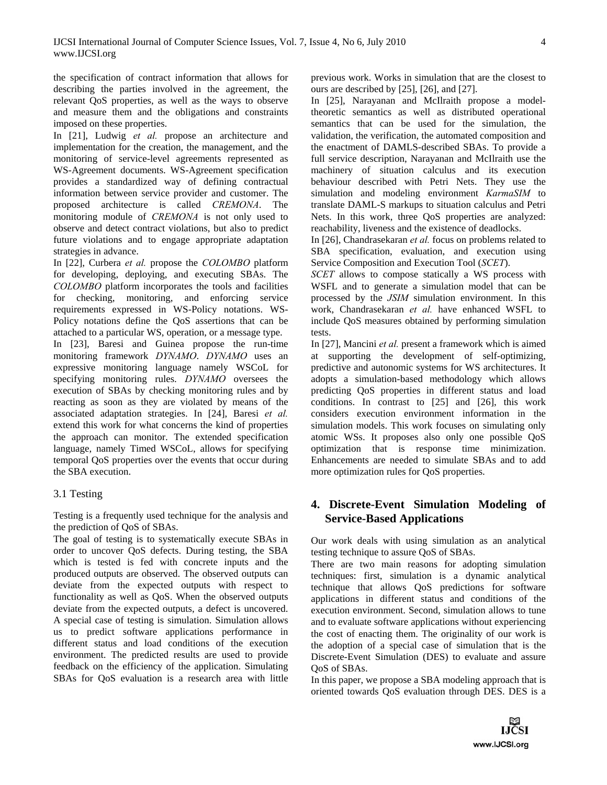the specification of contract information that allows for describing the parties involved in the agreement, the relevant QoS properties, as well as the ways to observe and measure them and the obligations and constraints imposed on these properties.

In [21], Ludwig *et al.* propose an architecture and implementation for the creation, the management, and the monitoring of service-level agreements represented as WS-Agreement documents. WS-Agreement specification provides a standardized way of defining contractual information between service provider and customer. The proposed architecture is called *CREMONA*. The monitoring module of *CREMONA* is not only used to observe and detect contract violations, but also to predict future violations and to engage appropriate adaptation strategies in advance.

In [22], Curbera *et al.* propose the *COLOMBO* platform for developing, deploying, and executing SBAs. The *COLOMBO* platform incorporates the tools and facilities for checking, monitoring, and enforcing service requirements expressed in WS-Policy notations. WS-Policy notations define the QoS assertions that can be attached to a particular WS, operation, or a message type.

In [23], Baresi and Guinea propose the run-time monitoring framework *DYNAMO*. *DYNAMO* uses an expressive monitoring language namely WSCoL for specifying monitoring rules. *DYNAMO* oversees the execution of SBAs by checking monitoring rules and by reacting as soon as they are violated by means of the associated adaptation strategies. In [24], Baresi *et al.* extend this work for what concerns the kind of properties the approach can monitor. The extended specification language, namely Timed WSCoL, allows for specifying temporal QoS properties over the events that occur during the SBA execution.

### 3.1 Testing

Testing is a frequently used technique for the analysis and the prediction of QoS of SBAs.

The goal of testing is to systematically execute SBAs in order to uncover QoS defects. During testing, the SBA which is tested is fed with concrete inputs and the produced outputs are observed. The observed outputs can deviate from the expected outputs with respect to functionality as well as QoS. When the observed outputs deviate from the expected outputs, a defect is uncovered. A special case of testing is simulation. Simulation allows us to predict software applications performance in different status and load conditions of the execution environment. The predicted results are used to provide feedback on the efficiency of the application. Simulating SBAs for QoS evaluation is a research area with little

previous work. Works in simulation that are the closest to ours are described by [25], [26], and [27].

In [25], Narayanan and McIlraith propose a modeltheoretic semantics as well as distributed operational semantics that can be used for the simulation, the validation, the verification, the automated composition and the enactment of DAMLS-described SBAs. To provide a full service description, Narayanan and McIlraith use the machinery of situation calculus and its execution behaviour described with Petri Nets. They use the simulation and modeling environment *KarmaSIM* to translate DAML-S markups to situation calculus and Petri Nets. In this work, three QoS properties are analyzed: reachability, liveness and the existence of deadlocks.

In [26], Chandrasekaran *et al.* focus on problems related to SBA specification, evaluation, and execution using Service Composition and Execution Tool (*SCET*).

*SCET* allows to compose statically a WS process with WSFL and to generate a simulation model that can be processed by the *JSIM* simulation environment. In this work, Chandrasekaran *et al.* have enhanced WSFL to include QoS measures obtained by performing simulation tests.

In [27], Mancini *et al.* present a framework which is aimed at supporting the development of self-optimizing, predictive and autonomic systems for WS architectures. It adopts a simulation-based methodology which allows predicting QoS properties in different status and load conditions. In contrast to [25] and [26], this work considers execution environment information in the simulation models. This work focuses on simulating only atomic WSs. It proposes also only one possible QoS optimization that is response time minimization. Enhancements are needed to simulate SBAs and to add more optimization rules for QoS properties.

# **4. Discrete-Event Simulation Modeling of Service-Based Applications**

Our work deals with using simulation as an analytical testing technique to assure QoS of SBAs.

There are two main reasons for adopting simulation techniques: first, simulation is a dynamic analytical technique that allows QoS predictions for software applications in different status and conditions of the execution environment. Second, simulation allows to tune and to evaluate software applications without experiencing the cost of enacting them. The originality of our work is the adoption of a special case of simulation that is the Discrete-Event Simulation (DES) to evaluate and assure QoS of SBAs.

In this paper, we propose a SBA modeling approach that is oriented towards QoS evaluation through DES. DES is a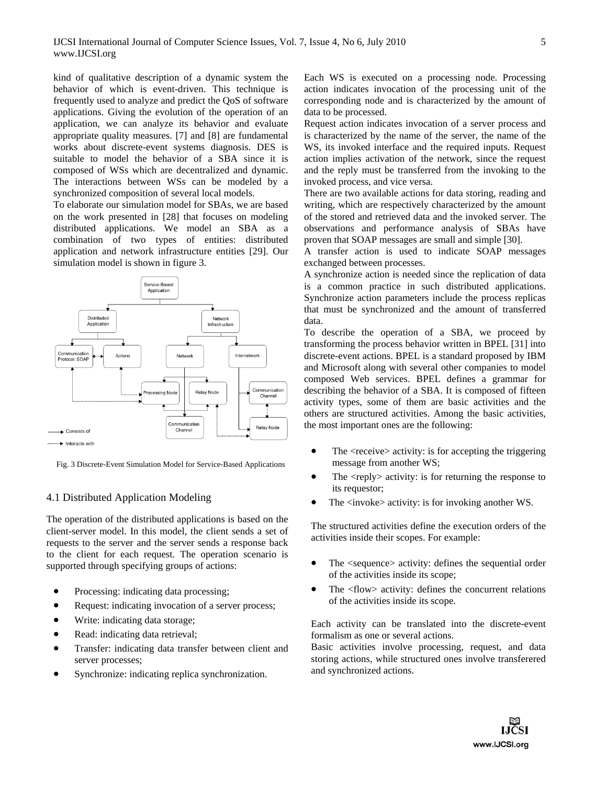kind of qualitative description of a dynamic system the behavior of which is event-driven. This technique is frequently used to analyze and predict the QoS of software applications. Giving the evolution of the operation of an application, we can analyze its behavior and evaluate appropriate quality measures. [7] and [8] are fundamental works about discrete-event systems diagnosis. DES is suitable to model the behavior of a SBA since it is composed of WSs which are decentralized and dynamic. The interactions between WSs can be modeled by a synchronized composition of several local models.

To elaborate our simulation model for SBAs, we are based on the work presented in [28] that focuses on modeling distributed applications. We model an SBA as a combination of two types of entities: distributed application and network infrastructure entities [29]. Our simulation model is shown in figure 3.



Fig. 3 Discrete-Event Simulation Model for Service-Based Applications

### 4.1 Distributed Application Modeling

The operation of the distributed applications is based on the client-server model. In this model, the client sends a set of requests to the server and the server sends a response back to the client for each request. The operation scenario is supported through specifying groups of actions:

- Processing: indicating data processing;
- Request: indicating invocation of a server process;
- Write: indicating data storage;
- Read: indicating data retrieval;
- Transfer: indicating data transfer between client and server processes;
- Synchronize: indicating replica synchronization.

Each WS is executed on a processing node. Processing action indicates invocation of the processing unit of the corresponding node and is characterized by the amount of data to be processed.

Request action indicates invocation of a server process and is characterized by the name of the server, the name of the WS, its invoked interface and the required inputs. Request action implies activation of the network, since the request and the reply must be transferred from the invoking to the invoked process, and vice versa.

There are two available actions for data storing, reading and writing, which are respectively characterized by the amount of the stored and retrieved data and the invoked server. The observations and performance analysis of SBAs have proven that SOAP messages are small and simple [30].

A transfer action is used to indicate SOAP messages exchanged between processes.

A synchronize action is needed since the replication of data is a common practice in such distributed applications. Synchronize action parameters include the process replicas that must be synchronized and the amount of transferred data.

To describe the operation of a SBA, we proceed by transforming the process behavior written in BPEL [31] into discrete-event actions. BPEL is a standard proposed by IBM and Microsoft along with several other companies to model composed Web services. BPEL defines a grammar for describing the behavior of a SBA. It is composed of fifteen activity types, some of them are basic activities and the others are structured activities. Among the basic activities, the most important ones are the following:

- $\bullet$  The  $\leq$  receive $\geq$  activity: is for accepting the triggering message from another WS;
- $\bullet$  The  $\langle$ reply $\rangle$  activity: is for returning the response to its requestor;
- The <invoke> activity: is for invoking another WS.

The structured activities define the execution orders of the activities inside their scopes. For example:

- The <sequence> activity: defines the sequential order of the activities inside its scope;
- The <flow> activity: defines the concurrent relations of the activities inside its scope.

Each activity can be translated into the discrete-event formalism as one or several actions.

Basic activities involve processing, request, and data storing actions, while structured ones involve transferered and synchronized actions.

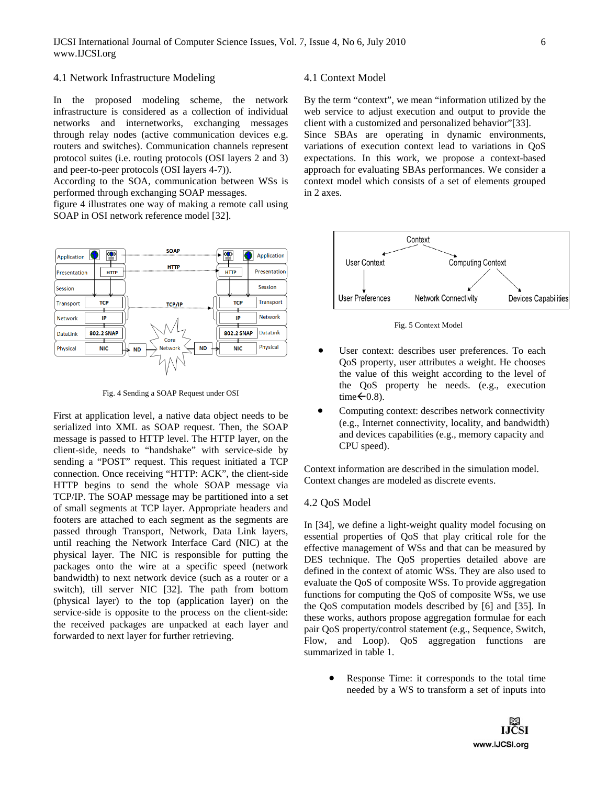#### 4.1 Network Infrastructure Modeling

In the proposed modeling scheme, the network infrastructure is considered as a collection of individual networks and internetworks, exchanging messages through relay nodes (active communication devices e.g. routers and switches). Communication channels represent protocol suites (i.e. routing protocols (OSI layers 2 and 3) and peer-to-peer protocols (OSI layers 4-7)).

According to the SOA, communication between WSs is performed through exchanging SOAP messages.

figure 4 illustrates one way of making a remote call using SOAP in OSI network reference model [32].



Fig. 4 Sending a SOAP Request under OSI

First at application level, a native data object needs to be serialized into XML as SOAP request. Then, the SOAP message is passed to HTTP level. The HTTP layer, on the client-side, needs to "handshake" with service-side by sending a "POST" request. This request initiated a TCP connection. Once receiving "HTTP: ACK", the client-side HTTP begins to send the whole SOAP message via TCP/IP. The SOAP message may be partitioned into a set of small segments at TCP layer. Appropriate headers and footers are attached to each segment as the segments are passed through Transport, Network, Data Link layers, until reaching the Network Interface Card (NIC) at the physical layer. The NIC is responsible for putting the packages onto the wire at a specific speed (network bandwidth) to next network device (such as a router or a switch), till server NIC [32]. The path from bottom (physical layer) to the top (application layer) on the service-side is opposite to the process on the client-side: the received packages are unpacked at each layer and forwarded to next layer for further retrieving.

#### 4.1 Context Model

By the term "context", we mean "information utilized by the web service to adjust execution and output to provide the client with a customized and personalized behavior"[33]. Since SBAs are operating in dynamic environments,

variations of execution context lead to variations in QoS expectations. In this work, we propose a context-based approach for evaluating SBAs performances. We consider a context model which consists of a set of elements grouped in 2 axes.



Fig. 5 Context Model

- User context: describes user preferences. To each QoS property, user attributes a weight. He chooses the value of this weight according to the level of the QoS property he needs. (e.g., execution time $\leftarrow$ 0.8).
- Computing context: describes network connectivity (e.g., Internet connectivity, locality, and bandwidth) and devices capabilities (e.g., memory capacity and CPU speed).

Context information are described in the simulation model. Context changes are modeled as discrete events.

#### 4.2 QoS Model

In [34], we define a light-weight quality model focusing on essential properties of QoS that play critical role for the effective management of WSs and that can be measured by DES technique. The QoS properties detailed above are defined in the context of atomic WSs. They are also used to evaluate the QoS of composite WSs. To provide aggregation functions for computing the QoS of composite WSs, we use the QoS computation models described by [6] and [35]. In these works, authors propose aggregation formulae for each pair QoS property/control statement (e.g., Sequence, Switch, Flow, and Loop). QoS aggregation functions are summarized in table 1.

> Response Time: it corresponds to the total time needed by a WS to transform a set of inputs into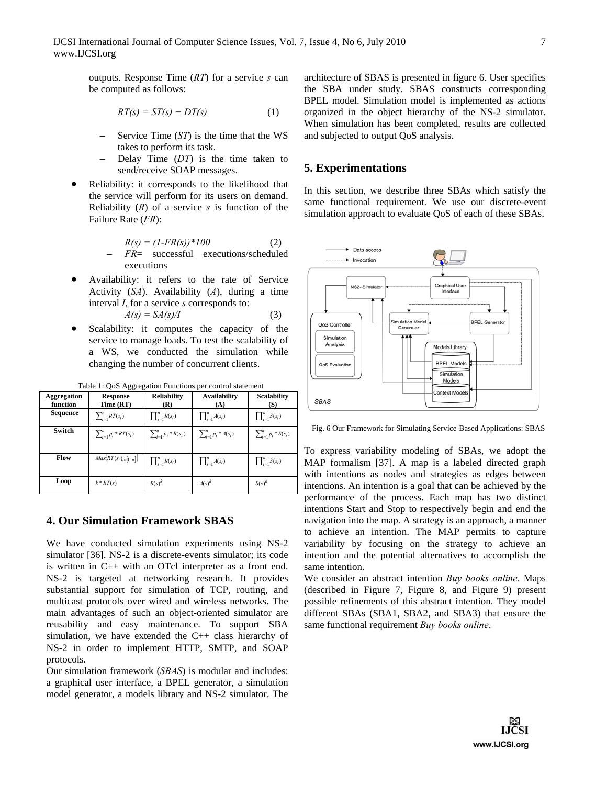outputs. Response Time (*RT*) for a service *s* can be computed as follows:

$$
RT(s) = ST(s) + DT(s) \tag{1}
$$

- Service Time (*ST*) is the time that the WS takes to perform its task.
- Delay Time (*DT*) is the time taken to send/receive SOAP messages.
- Reliability: it corresponds to the likelihood that the service will perform for its users on demand. Reliability  $(R)$  of a service  $s$  is function of the Failure Rate (*FR*):

$$
R(s) = (1 - FR(s)) * 100
$$
 (2)  
-  $FR =$  successful executions/scheduled  
executions

- Availability: it refers to the rate of Service Activity (*SA*). Availability (*A*), during a time interval *I*, for a service *s* corresponds to:  $A(s) = S A(s) / I$  (3)
- Scalability: it computes the capacity of the service to manage loads. To test the scalability of a WS, we conducted the simulation while changing the number of concurrent clients.

| <b>Aggregation</b><br>function | <b>Response</b><br>Time (RT)   | <b>Reliability</b><br>(R)     | <b>Availability</b><br>(A)    | <b>Scalability</b><br>(S)     |
|--------------------------------|--------------------------------|-------------------------------|-------------------------------|-------------------------------|
| Sequence                       | $\sum_{i=1}^{n} RT(s_i)$       | $\prod_{i=1}^n R(s_i)$        | $\prod_{i=1}^n A(s_i)$        | $\prod_{i=1}^n S(s_i)$        |
| Switch                         | $\sum_{i=1}^{n} p_i * RT(s_i)$ | $\sum_{i=1}^{n} p_i * R(s_i)$ | $\sum_{i=1}^{n} p_i * A(s_i)$ | $\sum_{i=1}^{n} p_i * S(s_i)$ |
| Flow                           | $Max\{RT(s_i)_{i\in [1n]}\}$   | $\prod_{i=1}^n R(s_i)$        | $\prod_{i=1}^n A(s_i)$        | $\prod_{i=1}^n S(s_i)$        |
| Loop                           | $k * RT(s)$                    | $R(s)^k$                      | $A(s)^k$                      | $S(s)^k$                      |

Table 1: QoS Aggregation Functions per control statement

# **4. Our Simulation Framework SBAS**

We have conducted simulation experiments using NS-2 simulator [36]. NS-2 is a discrete-events simulator; its code is written in C++ with an OTcl interpreter as a front end. NS-2 is targeted at networking research. It provides substantial support for simulation of TCP, routing, and multicast protocols over wired and wireless networks. The main advantages of such an object-oriented simulator are reusability and easy maintenance. To support SBA simulation, we have extended the C++ class hierarchy of NS-2 in order to implement HTTP, SMTP, and SOAP protocols.

Our simulation framework (*SBAS*) is modular and includes: a graphical user interface, a BPEL generator, a simulation model generator, a models library and NS-2 simulator. The

architecture of SBAS is presented in figure 6. User specifies the SBA under study. SBAS constructs corresponding BPEL model. Simulation model is implemented as actions organized in the object hierarchy of the NS-2 simulator. When simulation has been completed, results are collected and subjected to output QoS analysis.

# **5. Experimentations**

In this section, we describe three SBAs which satisfy the same functional requirement. We use our discrete-event simulation approach to evaluate QoS of each of these SBAs.



Fig. 6 Our Framework for Simulating Service-Based Applications: SBAS

To express variability modeling of SBAs, we adopt the MAP formalism [37]. A map is a labeled directed graph with intentions as nodes and strategies as edges between intentions. An intention is a goal that can be achieved by the performance of the process. Each map has two distinct intentions Start and Stop to respectively begin and end the navigation into the map. A strategy is an approach, a manner to achieve an intention. The MAP permits to capture variability by focusing on the strategy to achieve an intention and the potential alternatives to accomplish the same intention.

We consider an abstract intention *Buy books online*. Maps (described in Figure 7, Figure 8, and Figure 9) present possible refinements of this abstract intention. They model different SBAs (SBA1, SBA2, and SBA3) that ensure the same functional requirement *Buy books online*.

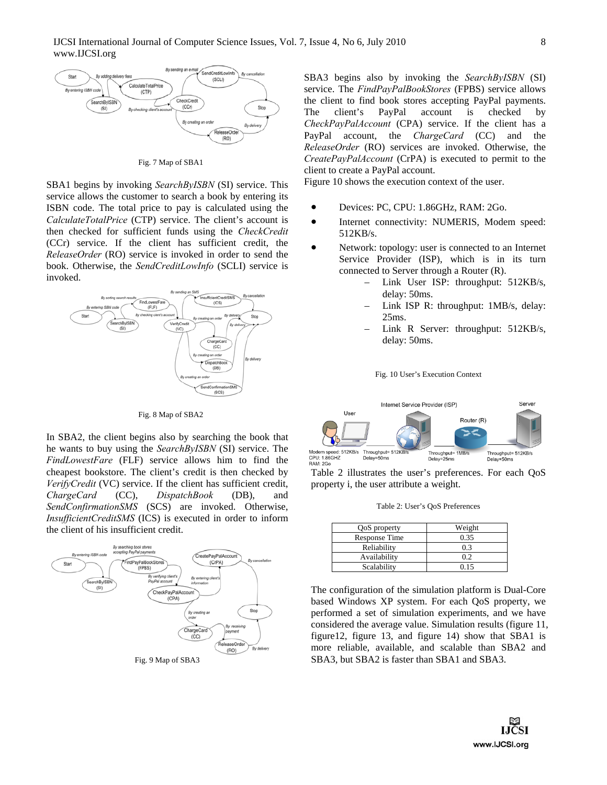

Fig. 7 Map of SBA1

SBA1 begins by invoking *SearchByISBN* (SI) service. This service allows the customer to search a book by entering its ISBN code. The total price to pay is calculated using the *CalculateTotalPrice* (CTP) service. The client's account is then checked for sufficient funds using the *CheckCredit* (CCr) service. If the client has sufficient credit, the *ReleaseOrder* (RO) service is invoked in order to send the book. Otherwise, the *SendCreditLowInfo* (SCLI) service is invoked.



Fig. 8 Map of SBA2

In SBA2, the client begins also by searching the book that he wants to buy using the *SearchByISBN* (SI) service. The *FindLowestFare* (FLF) service allows him to find the cheapest bookstore. The client's credit is then checked by *VerifyCredit* (VC) service. If the client has sufficient credit, *ChargeCard* (CC), *DispatchBook* (DB), and *SendConfirmationSMS* (SCS) are invoked. Otherwise, *InsufficientCreditSMS* (ICS) is executed in order to inform the client of his insufficient credit.



Fig. 9 Map of SBA3

SBA3 begins also by invoking the *SearchByISBN* (SI) service. The *FindPayPalBookStores* (FPBS) service allows the client to find book stores accepting PayPal payments. The client's PayPal account is checked by *CheckPayPalAccount* (CPA) service. If the client has a PayPal account, the *ChargeCard* (CC) and the *ReleaseOrder* (RO) services are invoked. Otherwise, the *CreatePayPalAccount* (CrPA) is executed to permit to the client to create a PayPal account.

Figure 10 shows the execution context of the user.

- Devices: PC, CPU: 1.86GHz, RAM: 2Go.
- Internet connectivity: NUMERIS, Modem speed: 512KB/s.
- Network: topology: user is connected to an Internet Service Provider (ISP), which is in its turn connected to Server through a Router (R).
	- Link User ISP: throughput: 512KB/s, delay: 50ms.
	- Link ISP R: throughput: 1MB/s, delay: 25ms.
	- Link R Server: throughput: 512KB/s, delay: 50ms.

Fig. 10 User's Execution Context



Table 2 illustrates the user's preferences. For each QoS property i, the user attribute a weight.

|  |  |  | Table 2: User's QoS Preferences |
|--|--|--|---------------------------------|
|--|--|--|---------------------------------|

| QoS property  | Weight         |
|---------------|----------------|
| Response Time | 0.35           |
| Reliability   | 0 <sup>3</sup> |
| Availability  | 0.2            |
| Scalability   | 0.15           |

The configuration of the simulation platform is Dual-Core based Windows XP system. For each QoS property, we performed a set of simulation experiments, and we have considered the average value. Simulation results (figure 11, figure12, figure 13, and figure 14) show that SBA1 is more reliable, available, and scalable than SBA2 and SBA3, but SBA2 is faster than SBA1 and SBA3.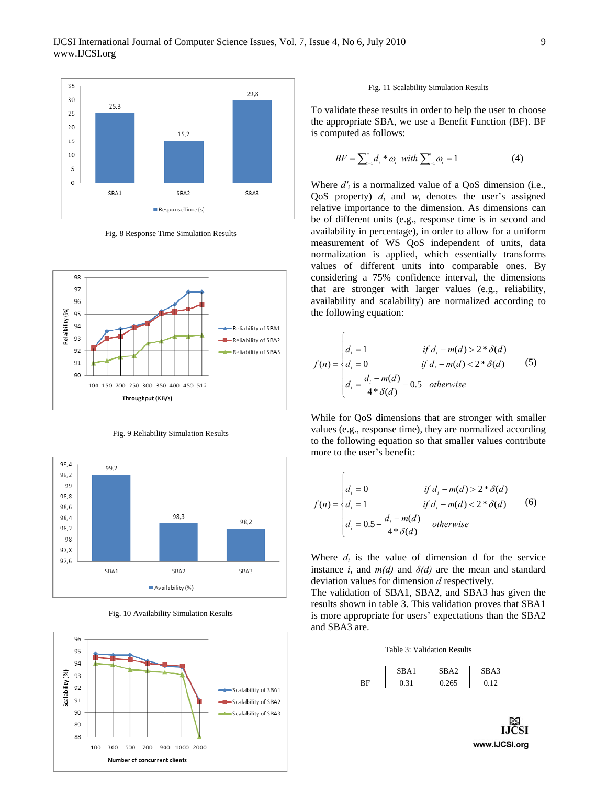

Fig. 8 Response Time Simulation Results



Fig. 9 Reliability Simulation Results



Fig. 10 Availability Simulation Results



#### Fig. 11 Scalability Simulation Results

To validate these results in order to help the user to choose the appropriate SBA, we use a Benefit Function (BF). BF is computed as follows:

$$
BF = \sum_{i=1}^{n} d_i^* \otimes_i \text{ with } \sum_{i=1}^{n} \omega_i = 1 \tag{4}
$$

Where  $d'_i$  is a normalized value of a QoS dimension (i.e., QoS property)  $d_i$  and  $w_i$  denotes the user's assigned relative importance to the dimension. As dimensions can be of different units (e.g., response time is in second and availability in percentage), in order to allow for a uniform measurement of WS QoS independent of units, data normalization is applied, which essentially transforms values of different units into comparable ones. By considering a 75% confidence interval, the dimensions that are stronger with larger values (e.g., reliability, availability and scalability) are normalized according to the following equation:

$$
f(n) = \begin{cases} d_i = 1 & \text{if } d_i - m(d) > 2 * \delta(d) \\ d_i = 0 & \text{if } d_i - m(d) < 2 * \delta(d) \\ d_i = \frac{d_i - m(d)}{4 * \delta(d)} + 0.5 & \text{otherwise} \end{cases}
$$
(5)

 $\epsilon$ 

 $\sqrt{ }$ 

While for QoS dimensions that are stronger with smaller values (e.g., response time), they are normalized according to the following equation so that smaller values contribute more to the user's benefit:

$$
f(n) = \begin{cases} d_i = 0 & \text{if } d_i - m(d) > 2 * \delta(d) \\ d_i = 1 & \text{if } d_i - m(d) < 2 * \delta(d) \\ d_i = 0.5 - \frac{d_i - m(d)}{4 * \delta(d)} & \text{otherwise} \end{cases}
$$
(6)

Where  $d_i$  is the value of dimension d for the service instance *i*, and  $m(d)$  and  $\delta(d)$  are the mean and standard deviation values for dimension *d* respectively.

The validation of SBA1, SBA2, and SBA3 has given the results shown in table 3. This validation proves that SBA1 is more appropriate for users' expectations than the SBA2 and SBA3 are.

Table 3: Validation Results

|    | <b>CDA</b> | IR A 2 | $\sim$<br>™ A ' |
|----|------------|--------|-----------------|
| RF |            |        |                 |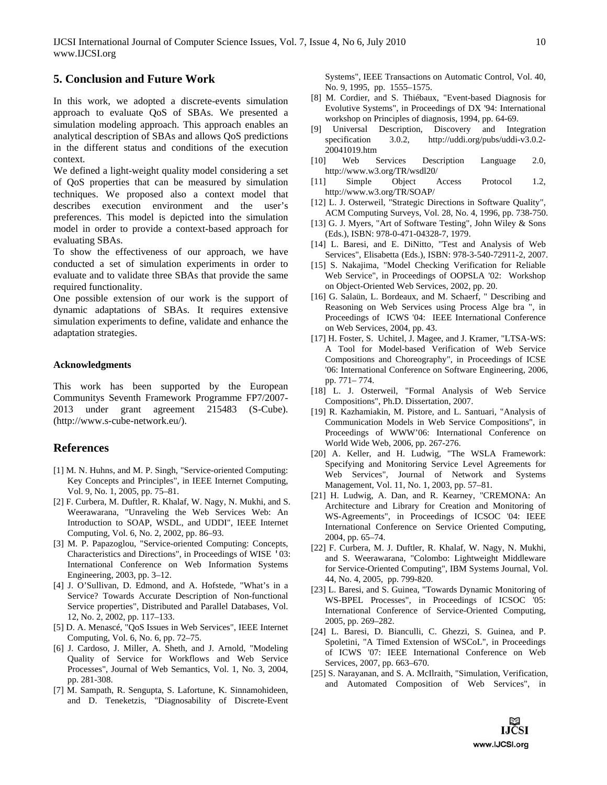# **5. Conclusion and Future Work**

In this work, we adopted a discrete-events simulation approach to evaluate QoS of SBAs. We presented a simulation modeling approach. This approach enables an analytical description of SBAs and allows QoS predictions in the different status and conditions of the execution context.

We defined a light-weight quality model considering a set of QoS properties that can be measured by simulation techniques. We proposed also a context model that describes execution environment and the user's preferences. This model is depicted into the simulation model in order to provide a context-based approach for evaluating SBAs.

To show the effectiveness of our approach, we have conducted a set of simulation experiments in order to evaluate and to validate three SBAs that provide the same required functionality.

One possible extension of our work is the support of dynamic adaptations of SBAs. It requires extensive simulation experiments to define, validate and enhance the adaptation strategies.

### **Acknowledgments**

This work has been supported by the European Communitys Seventh Framework Programme FP7/2007- 2013 under grant agreement 215483 (S-Cube). (http://www.s-cube-network.eu/).

### **References**

- [1] M. N. Huhns, and M. P. Singh, "Service-oriented Computing: Key Concepts and Principles", in IEEE Internet Computing, Vol. 9, No. 1, 2005, pp. 75–81.
- [2] F. Curbera, M. Duftler, R. Khalaf, W. Nagy, N. Mukhi, and S. Weerawarana, "Unraveling the Web Services Web: An Introduction to SOAP, WSDL, and UDDI", IEEE Internet Computing, Vol. 6, No. 2, 2002, pp. 86–93.
- [3] M. P. Papazoglou, "Service-oriented Computing: Concepts, Characteristics and Directions", in Proceedings of WISE '03: International Conference on Web Information Systems Engineering, 2003, pp. 3–12.
- [4] J. O'Sullivan, D. Edmond, and A. Hofstede, "What's in a Service? Towards Accurate Description of Non-functional Service properties", Distributed and Parallel Databases, Vol. 12, No. 2, 2002, pp. 117–133.
- [5] D. A. Menascé, "QoS Issues in Web Services", IEEE Internet Computing, Vol. 6, No. 6, pp. 72–75.
- [6] J. Cardoso, J. Miller, A. Sheth, and J. Arnold, "Modeling Quality of Service for Workflows and Web Service Processes", Journal of Web Semantics, Vol. 1, No. 3, 2004, pp. 281-308.
- [7] M. Sampath, R. Sengupta, S. Lafortune, K. Sinnamohideen, and D. Teneketzis, "Diagnosability of Discrete-Event

Systems", IEEE Transactions on Automatic Control, Vol. 40, No. 9, 1995, pp. 1555–1575.

- [8] M. Cordier, and S. Thiébaux, "Event-based Diagnosis for Evolutive Systems", in Proceedings of DX '94: International workshop on Principles of diagnosis, 1994, pp. 64-69.
- [9] Universal Description, Discovery and Integration specification 3.0.2, http://uddi.org/pubs/uddi-v3.0.2- 20041019.htm
- [10] Web Services Description Language 2.0, http://www.w3.org/TR/wsdl20/
- [11] Simple Object Access Protocol 1.2, http://www.w3.org/TR/SOAP/
- [12] L. J. Osterweil, "Strategic Directions in Software Quality", ACM Computing Surveys, Vol. 28, No. 4, 1996, pp. 738-750.
- [13] G. J. Myers, "Art of Software Testing", John Wiley & Sons (Eds.), ISBN: 978-0-471-04328-7, 1979.
- [14] L. Baresi, and E. DiNitto, "Test and Analysis of Web Services", Elisabetta (Eds.), ISBN: 978-3-540-72911-2, 2007.
- [15] S. Nakajima, "Model Checking Verification for Reliable Web Service", in Proceedings of OOPSLA '02: Workshop on Object-Oriented Web Services, 2002, pp. 20.
- [16] G. Salaün, L. Bordeaux, and M. Schaerf, " Describing and Reasoning on Web Services using Process Alge bra ", in Proceedings of ICWS '04: IEEE International Conference on Web Services, 2004, pp. 43.
- [17] H. Foster, S. Uchitel, J. Magee, and J. Kramer, "LTSA-WS: A Tool for Model-based Verification of Web Service Compositions and Choreography", in Proceedings of ICSE '06: International Conference on Software Engineering, 2006, pp. 771– 774.
- [18] L. J. Osterweil, "Formal Analysis of Web Service Compositions", Ph.D. Dissertation, 2007.
- [19] R. Kazhamiakin, M. Pistore, and L. Santuari, "Analysis of Communication Models in Web Service Compositions", in Proceedings of WWW'06: International Conference on World Wide Web, 2006, pp. 267-276.
- [20] A. Keller, and H. Ludwig, "The WSLA Framework: Specifying and Monitoring Service Level Agreements for Web Services", Journal of Network and Systems Management, Vol. 11, No. 1, 2003, pp. 57–81.
- [21] H. Ludwig, A. Dan, and R. Kearney, "CREMONA: An Architecture and Library for Creation and Monitoring of WS-Agreements", in Proceedings of ICSOC '04: IEEE International Conference on Service Oriented Computing, 2004, pp. 65–74.
- [22] F. Curbera, M. J. Duftler, R. Khalaf, W. Nagy, N. Mukhi, and S. Weerawarana, "Colombo: Lightweight Middleware for Service-Oriented Computing", IBM Systems Journal, Vol. 44, No. 4, 2005, pp. 799-820.
- [23] L. Baresi, and S. Guinea, "Towards Dynamic Monitoring of WS-BPEL Processes", in Proceedings of ICSOC '05: International Conference of Service-Oriented Computing, 2005, pp. 269–282.
- [24] L. Baresi, D. Bianculli, C. Ghezzi, S. Guinea, and P. Spoletini, "A Timed Extension of WSCoL", in Proceedings of ICWS '07: IEEE International Conference on Web Services, 2007, pp. 663–670.
- [25] S. Narayanan, and S. A. McIlraith, "Simulation, Verification, and Automated Composition of Web Services", in